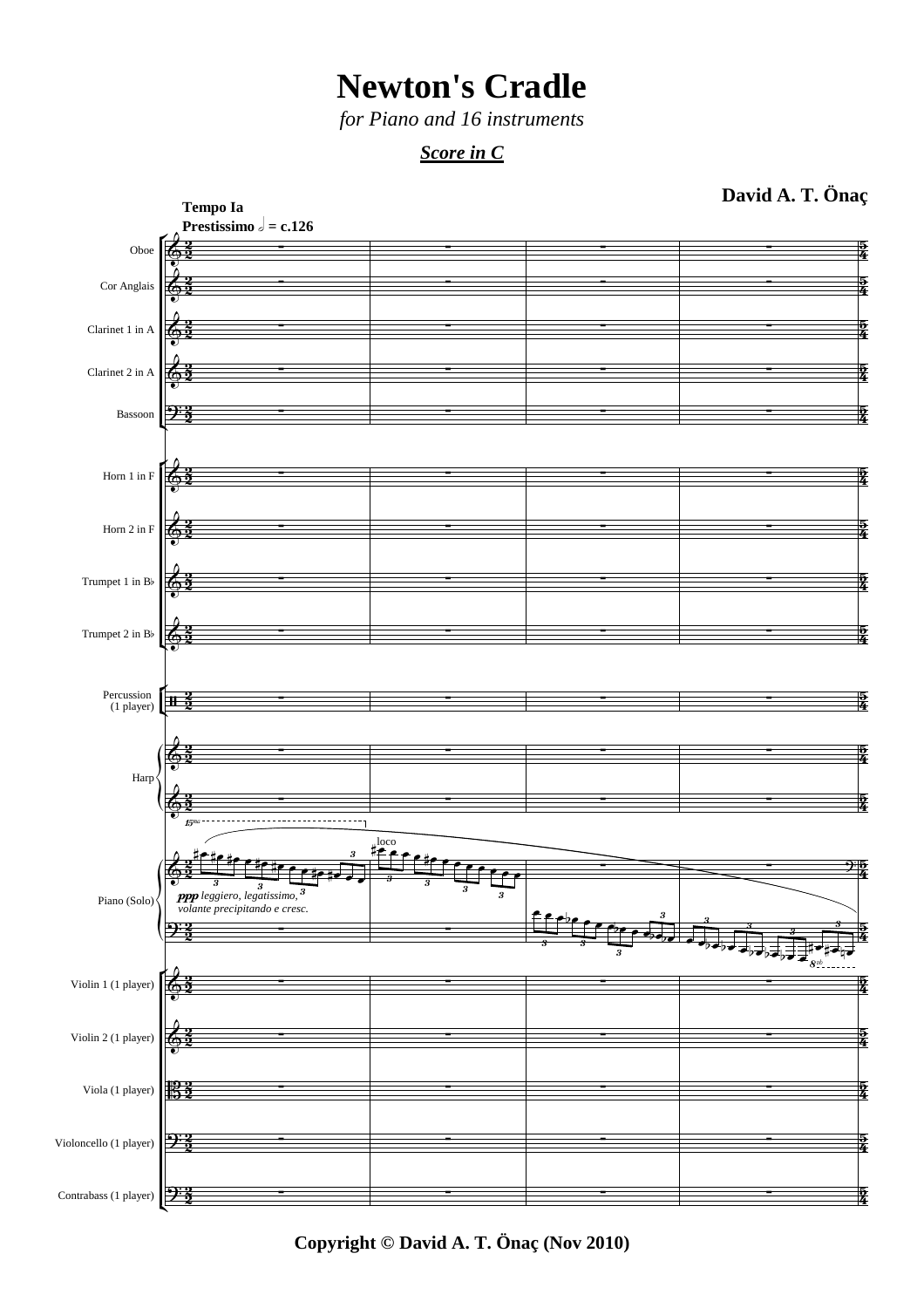## **Newton's Cradle**

*for Piano and 16 instruments*

*Score in C*



**Copyright © David A. T. Önaç (Nov 2010)**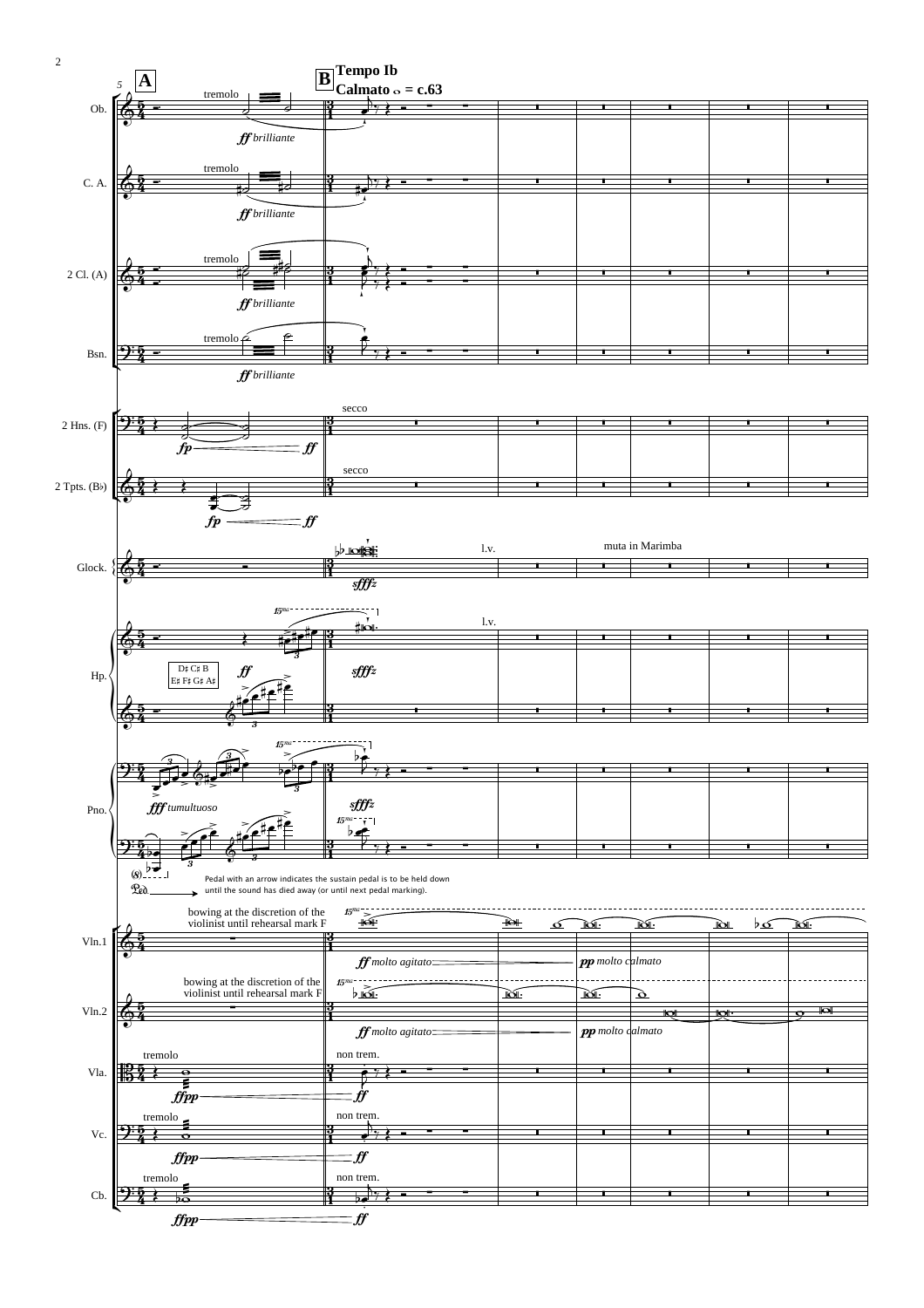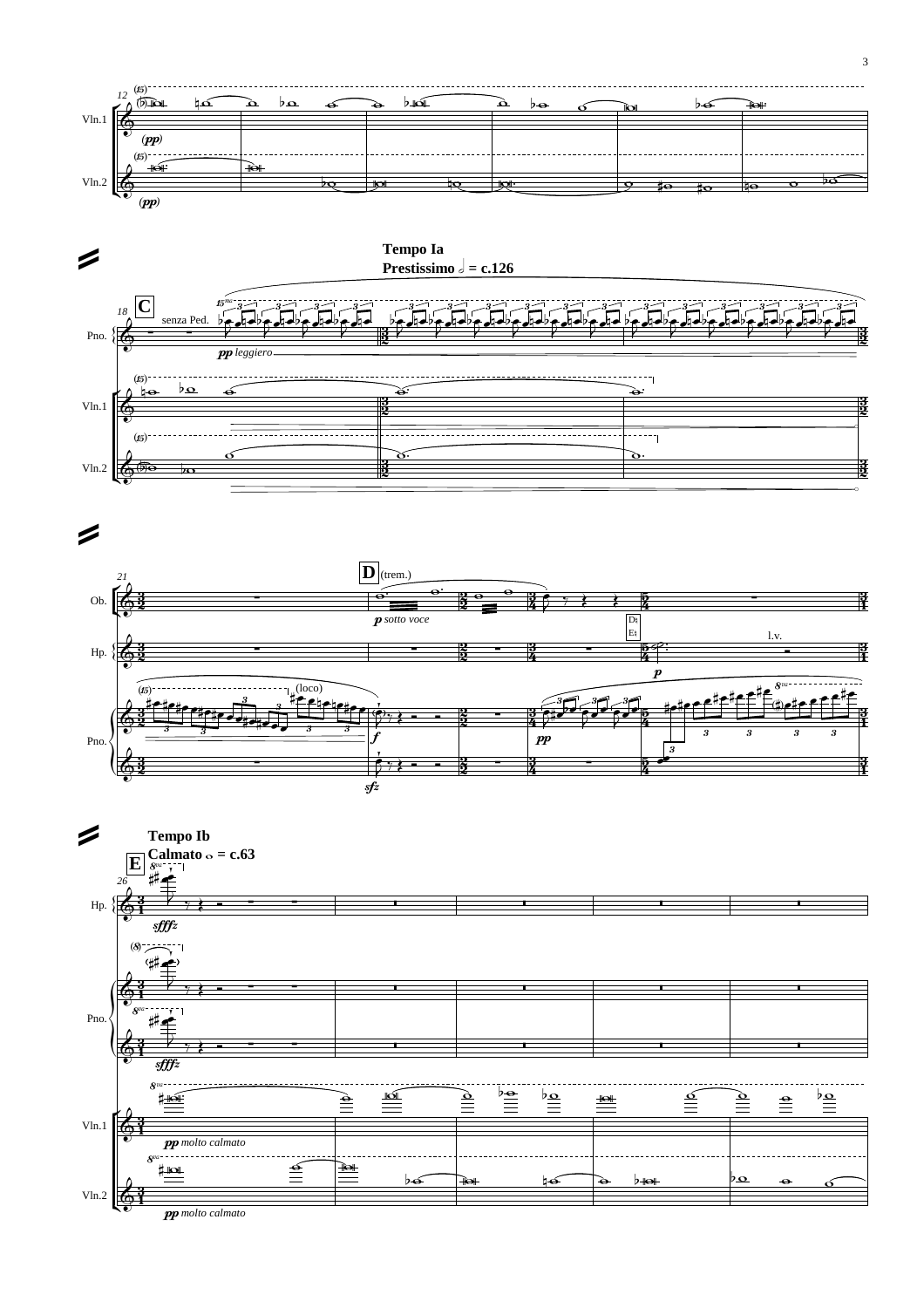





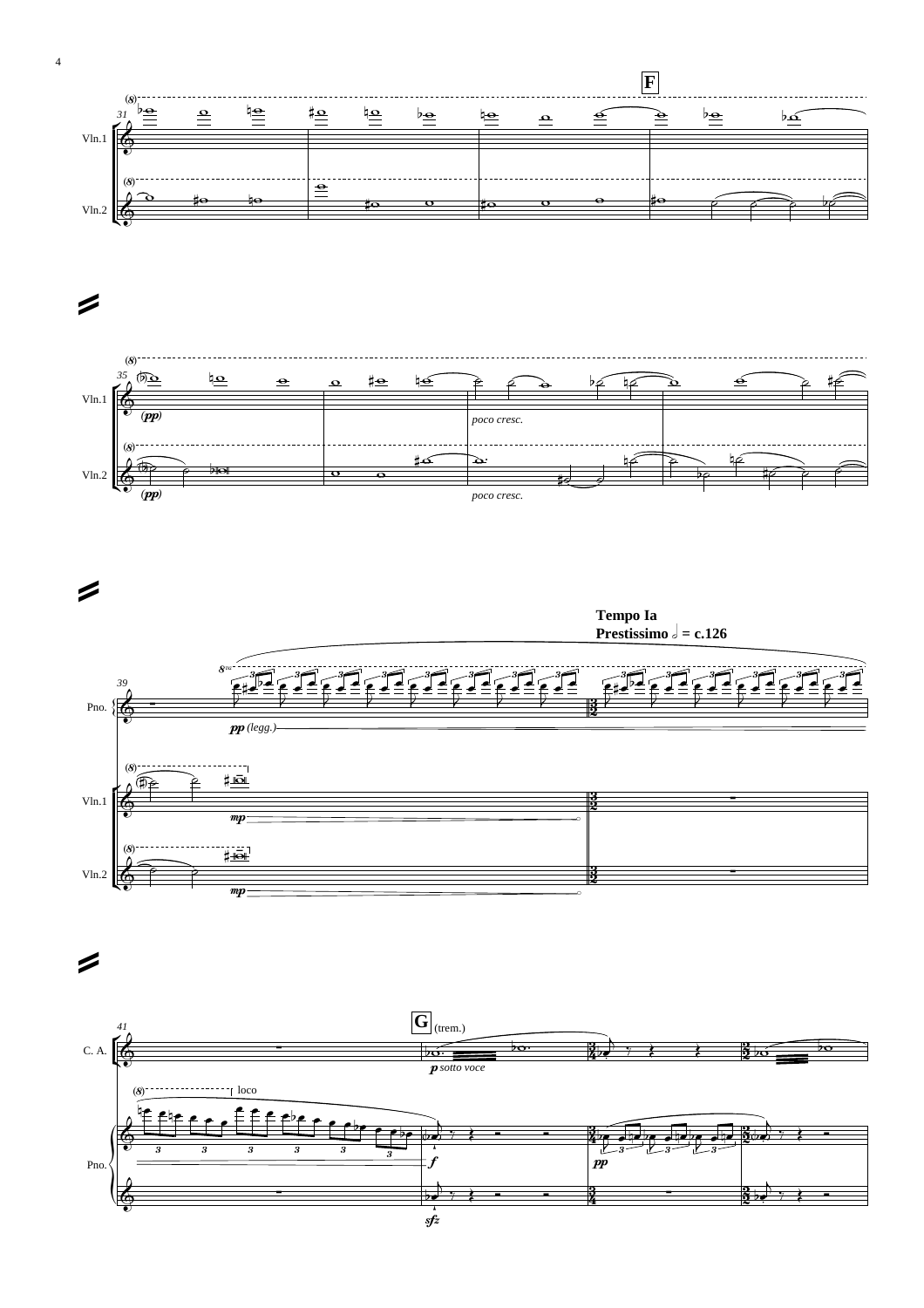

 $\overline{\phantom{a}}$ 





 $\boldsymbol{z}$